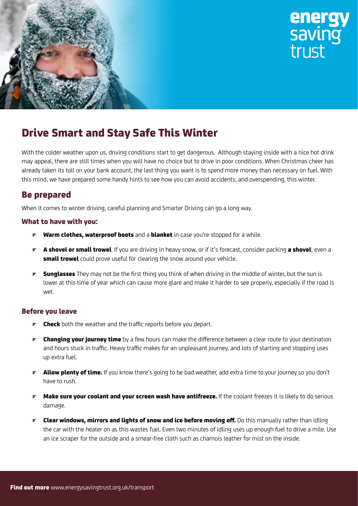



## **Drive Smart and Stay Safe This Winter**

With the colder weather upon us, driving conditions start to get dangerous. Although staying inside with a nice hot drink may appeal, there are still times when you will have no choice but to drive in poor conditions. When Christmas cheer has already taken its toll on your bank account, the last thing you want is to spend more money than necessary on fuel. With this mind, we have prepared some handy hints to see how you can avoid accidents, and overspending, this winter.

### **Be prepared**

When it comes to winter driving, careful planning and Smarter Driving can go a long way.

#### **What to have with you:**

- **Warm clothes, waterproof boots** and a **blanket** in case you're stopped for a while.
- **• A shovel or small trowel**. If you are driving in heavy snow, or if it's forecast, consider packing **a shovel**; even a **small trowel** could prove useful for clearing the snow around your vehicle.
- **• Sunglasses** They may not be the first thing you think of when driving in the middle of winter, but the sun is lower at this time of year which can cause more glare and make it harder to see properly, especially if the road is wet.

#### **Before you leave**

- **Check** both the weather and the traffic reports before you depart.
- *•* **Changing your journey time** by a few hours can make the difference between a clear route to your destination and hours stuck in traffic. Heavy traffic makes for an unpleasant journey, and lots of starting and stopping uses up extra fuel.
- **• Allow plenty of time.** If you know there's going to be bad weather, add extra time to your journey so you don't have to rush.
- **<sup>***r***</sup> Make sure your coolant and your screen wash have antifreeze. If the coolant freezes it is likely to do serious** damage.
- **• Clear windows, mirrors and lights of snow and ice before moving off.** Do this manually rather than idling the car with the heater on as this wastes fuel. Even two minutes of idling uses up enough fuel to drive a mile. Use an ice scraper for the outside and a smear-free cloth such as chamois leather for mist on the inside.